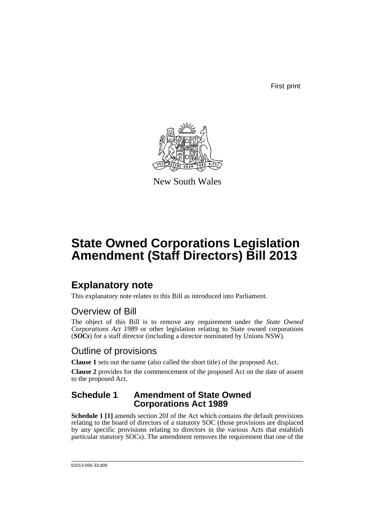First print



New South Wales

# **State Owned Corporations Legislation Amendment (Staff Directors) Bill 2013**

## **Explanatory note**

This explanatory note relates to this Bill as introduced into Parliament.

## Overview of Bill

The object of this Bill is to remove any requirement under the *State Owned Corporations Act 1989* or other legislation relating to State owned corporations (*SOCs*) for a staff director (including a director nominated by Unions NSW).

## Outline of provisions

**Clause 1** sets out the name (also called the short title) of the proposed Act.

**Clause 2** provides for the commencement of the proposed Act on the date of assent to the proposed Act.

### **Schedule 1 Amendment of State Owned Corporations Act 1989**

**Schedule 1 [1]** amends section 20J of the Act which contains the default provisions relating to the board of directors of a statutory SOC (those provisions are displaced by any specific provisions relating to directors in the various Acts that establish particular statutory SOCs). The amendment removes the requirement that one of the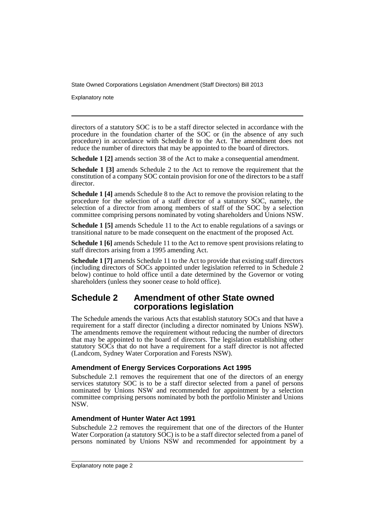Explanatory note

directors of a statutory SOC is to be a staff director selected in accordance with the procedure in the foundation charter of the SOC or (in the absence of any such procedure) in accordance with Schedule 8 to the Act. The amendment does not reduce the number of directors that may be appointed to the board of directors.

**Schedule 1 [2]** amends section 38 of the Act to make a consequential amendment.

**Schedule 1 [3]** amends Schedule 2 to the Act to remove the requirement that the constitution of a company SOC contain provision for one of the directors to be a staff director.

**Schedule 1 [4]** amends Schedule 8 to the Act to remove the provision relating to the procedure for the selection of a staff director of a statutory SOC, namely, the selection of a director from among members of staff of the SOC by a selection committee comprising persons nominated by voting shareholders and Unions NSW.

**Schedule 1 [5]** amends Schedule 11 to the Act to enable regulations of a savings or transitional nature to be made consequent on the enactment of the proposed Act.

**Schedule 1 [6]** amends Schedule 11 to the Act to remove spent provisions relating to staff directors arising from a 1995 amending Act.

**Schedule 1** [7] amends Schedule 11 to the Act to provide that existing staff directors (including directors of SOCs appointed under legislation referred to in Schedule 2 below) continue to hold office until a date determined by the Governor or voting shareholders (unless they sooner cease to hold office).

### **Schedule 2 Amendment of other State owned corporations legislation**

The Schedule amends the various Acts that establish statutory SOCs and that have a requirement for a staff director (including a director nominated by Unions NSW). The amendments remove the requirement without reducing the number of directors that may be appointed to the board of directors. The legislation establishing other statutory SOCs that do not have a requirement for a staff director is not affected (Landcom, Sydney Water Corporation and Forests NSW).

#### **Amendment of Energy Services Corporations Act 1995**

Subschedule 2.1 removes the requirement that one of the directors of an energy services statutory SOC is to be a staff director selected from a panel of persons nominated by Unions NSW and recommended for appointment by a selection committee comprising persons nominated by both the portfolio Minister and Unions NSW.

#### **Amendment of Hunter Water Act 1991**

Subschedule 2.2 removes the requirement that one of the directors of the Hunter Water Corporation (a statutory  $S\overrightarrow{OC}$ ) is to be a staff director selected from a panel of persons nominated by Unions NSW and recommended for appointment by a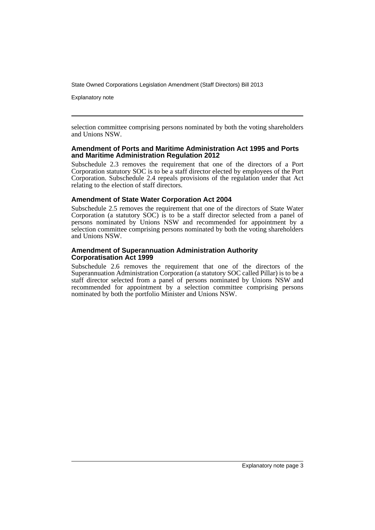Explanatory note

selection committee comprising persons nominated by both the voting shareholders and Unions NSW.

#### **Amendment of Ports and Maritime Administration Act 1995 and Ports and Maritime Administration Regulation 2012**

Subschedule 2.3 removes the requirement that one of the directors of a Port Corporation statutory SOC is to be a staff director elected by employees of the Port Corporation. Subschedule 2.4 repeals provisions of the regulation under that Act relating to the election of staff directors.

#### **Amendment of State Water Corporation Act 2004**

Subschedule 2.5 removes the requirement that one of the directors of State Water Corporation (a statutory SOC) is to be a staff director selected from a panel of persons nominated by Unions NSW and recommended for appointment by a selection committee comprising persons nominated by both the voting shareholders and Unions NSW.

#### **Amendment of Superannuation Administration Authority Corporatisation Act 1999**

Subschedule 2.6 removes the requirement that one of the directors of the Superannuation Administration Corporation (a statutory SOC called Pillar) is to be a staff director selected from a panel of persons nominated by Unions NSW and recommended for appointment by a selection committee comprising persons nominated by both the portfolio Minister and Unions NSW.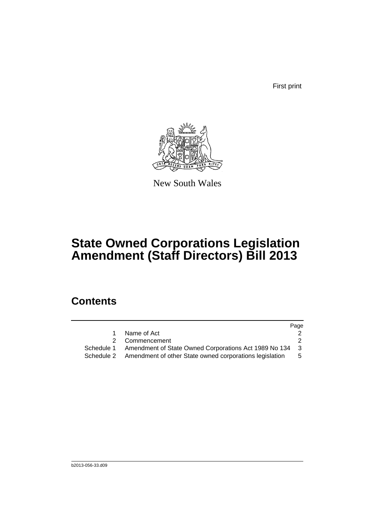First print



New South Wales

# **State Owned Corporations Legislation Amendment (Staff Directors) Bill 2013**

## **Contents**

|            |                                                         | Page |
|------------|---------------------------------------------------------|------|
|            | Name of Act                                             |      |
|            | 2 Commencement                                          |      |
| Schedule 1 | Amendment of State Owned Corporations Act 1989 No 134   | - 3  |
| Schedule 2 | Amendment of other State owned corporations legislation | 5.   |
|            |                                                         |      |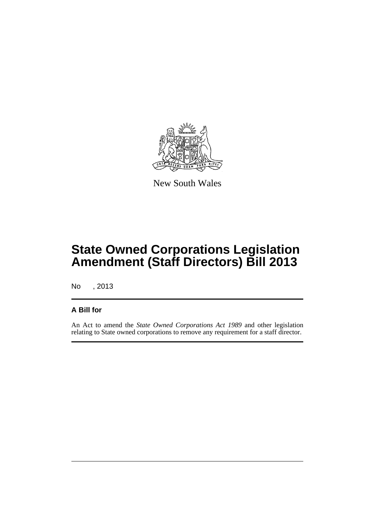

New South Wales

# **State Owned Corporations Legislation Amendment (Staff Directors) Bill 2013**

No , 2013

### **A Bill for**

An Act to amend the *State Owned Corporations Act 1989* and other legislation relating to State owned corporations to remove any requirement for a staff director.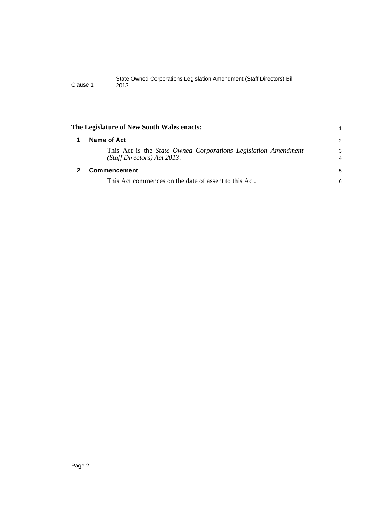<span id="page-7-1"></span><span id="page-7-0"></span>

| The Legislature of New South Wales enacts:                                                    |        |
|-----------------------------------------------------------------------------------------------|--------|
| Name of Act                                                                                   | 2      |
| This Act is the State Owned Corporations Legislation Amendment<br>(Staff Directors) Act 2013. | 3<br>4 |
| <b>Commencement</b>                                                                           | 5      |
| This Act commences on the date of assent to this Act.                                         | 6      |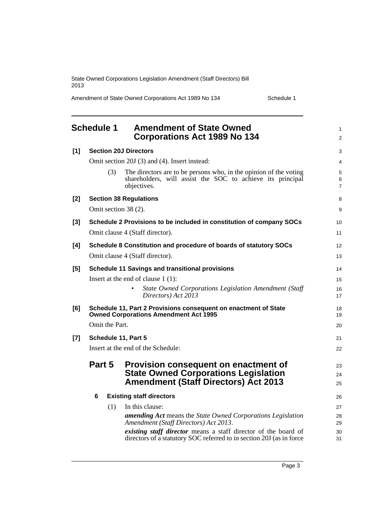Amendment of State Owned Corporations Act 1989 No 134 Schedule 1

<span id="page-8-0"></span>

|       | <b>Schedule 1</b>    | <b>Amendment of State Owned</b><br><b>Corporations Act 1989 No 134</b>                                                                         | $\mathbf{1}$<br>$\overline{2}$ |
|-------|----------------------|------------------------------------------------------------------------------------------------------------------------------------------------|--------------------------------|
| $[1]$ |                      | <b>Section 20J Directors</b>                                                                                                                   | 3                              |
|       |                      | Omit section 20J (3) and (4). Insert instead:                                                                                                  | 4                              |
|       | (3)                  | The directors are to be persons who, in the opinion of the voting<br>shareholders, will assist the SOC to achieve its principal<br>objectives. | 5<br>6<br>$\overline{7}$       |
| $[2]$ |                      | <b>Section 38 Regulations</b>                                                                                                                  | 8                              |
|       | Omit section 38 (2). |                                                                                                                                                | 9                              |
| $[3]$ |                      | Schedule 2 Provisions to be included in constitution of company SOCs                                                                           | 10                             |
|       |                      | Omit clause 4 (Staff director).                                                                                                                | 11                             |
| [4]   |                      | Schedule 8 Constitution and procedure of boards of statutory SOCs                                                                              | 12                             |
|       |                      | Omit clause 4 (Staff director).                                                                                                                | 13                             |
| [5]   |                      | <b>Schedule 11 Savings and transitional provisions</b>                                                                                         | 14                             |
|       |                      | Insert at the end of clause $1(1)$ :                                                                                                           | 15                             |
|       |                      | State Owned Corporations Legislation Amendment (Staff<br>Directors) Act 2013                                                                   | 16<br>17                       |
| [6]   |                      | Schedule 11, Part 2 Provisions consequent on enactment of State<br><b>Owned Corporations Amendment Act 1995</b>                                | 18<br>19                       |
|       | Omit the Part.       |                                                                                                                                                | 20                             |
| $[7]$ | Schedule 11, Part 5  |                                                                                                                                                | 21                             |
|       |                      | Insert at the end of the Schedule:                                                                                                             | 22                             |
|       | Part 5               | Provision consequent on enactment of                                                                                                           | 23                             |
|       |                      | <b>State Owned Corporations Legislation</b>                                                                                                    | 24                             |
|       |                      | <b>Amendment (Staff Directors) Act 2013</b>                                                                                                    | 25                             |
|       | 6                    | <b>Existing staff directors</b>                                                                                                                | 26                             |
|       | (1)                  | In this clause:                                                                                                                                | 27                             |
|       |                      | <b>amending Act</b> means the State Owned Corporations Legislation<br>Amendment (Staff Directors) Act 2013.                                    | 28<br>29                       |
|       |                      | existing staff director means a staff director of the board of                                                                                 | 30                             |
|       |                      | directors of a statutory SOC referred to in section 20J (as in force                                                                           | 31                             |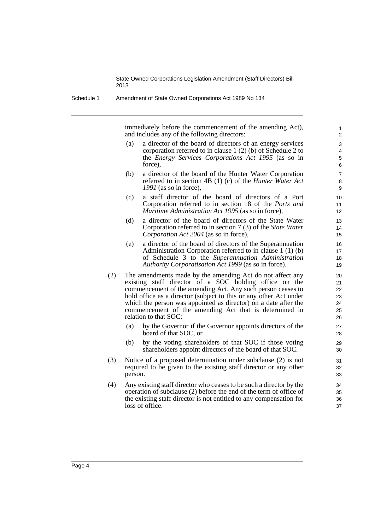Schedule 1 Amendment of State Owned Corporations Act 1989 No 134

immediately before the commencement of the amending Act), and includes any of the following directors:

- (a) a director of the board of directors of an energy services corporation referred to in clause 1 (2) (b) of Schedule 2 to the *Energy Services Corporations Act 1995* (as so in force),
- (b) a director of the board of the Hunter Water Corporation referred to in section 4B (1) (c) of the *Hunter Water Act 1991* (as so in force),
- (c) a staff director of the board of directors of a Port Corporation referred to in section 18 of the *Ports and Maritime Administration Act 1995* (as so in force),
- (d) a director of the board of directors of the State Water Corporation referred to in section 7 (3) of the *State Water Corporation Act 2004* (as so in force),
- (e) a director of the board of directors of the Superannuation Administration Corporation referred to in clause 1 (1) (b) of Schedule 3 to the *Superannuation Administration Authority Corporatisation Act 1999* (as so in force).
- (2) The amendments made by the amending Act do not affect any existing staff director of a SOC holding office on the commencement of the amending Act. Any such person ceases to hold office as a director (subject to this or any other Act under which the person was appointed as director) on a date after the commencement of the amending Act that is determined in relation to that SOC:
	- (a) by the Governor if the Governor appoints directors of the board of that SOC, or
	- (b) by the voting shareholders of that SOC if those voting shareholders appoint directors of the board of that SOC.
- (3) Notice of a proposed determination under subclause (2) is not required to be given to the existing staff director or any other person.
- (4) Any existing staff director who ceases to be such a director by the operation of subclause (2) before the end of the term of office of the existing staff director is not entitled to any compensation for loss of office.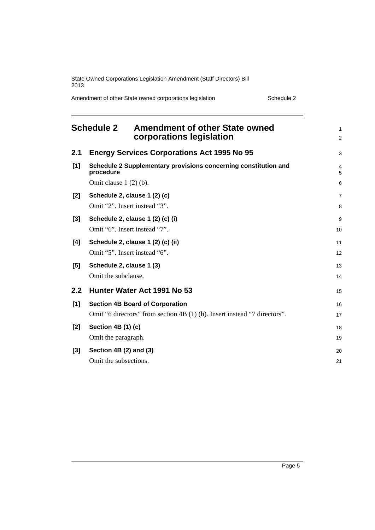Amendment of other State owned corporations legislation Schedule 2

<span id="page-10-0"></span>

|                  | <b>Schedule 2</b>       | <b>Amendment of other State owned</b><br>corporations legislation         | $\mathbf{1}$<br>2 |
|------------------|-------------------------|---------------------------------------------------------------------------|-------------------|
| 2.1              |                         | <b>Energy Services Corporations Act 1995 No 95</b>                        | 3                 |
| [1]              | procedure               | Schedule 2 Supplementary provisions concerning constitution and           | 4<br>5            |
|                  | Omit clause $1(2)(b)$ . |                                                                           | 6                 |
| $[2]$            |                         | Schedule 2, clause 1 (2) (c)                                              | $\overline{7}$    |
|                  |                         | Omit "2". Insert instead "3".                                             | 8                 |
| $[3]$            |                         | Schedule 2, clause 1 (2) (c) (i)                                          | 9                 |
|                  |                         | Omit "6". Insert instead "7".                                             | 10                |
| [4]              |                         | Schedule 2, clause 1 (2) (c) (ii)                                         | 11                |
|                  |                         | Omit "5". Insert instead "6".                                             | 12                |
| [5]              |                         | Schedule 2, clause 1 (3)                                                  | 13                |
|                  | Omit the subclause.     |                                                                           | 14                |
| $2.2\phantom{0}$ |                         | Hunter Water Act 1991 No 53                                               | 15                |
| [1]              |                         | <b>Section 4B Board of Corporation</b>                                    | 16                |
|                  |                         | Omit "6 directors" from section 4B (1) (b). Insert instead "7 directors". | 17                |
| $[2]$            | Section 4B (1) (c)      |                                                                           | 18                |
|                  | Omit the paragraph.     |                                                                           | 19                |
| $[3]$            | Section 4B (2) and (3)  |                                                                           | 20                |
|                  | Omit the subsections.   |                                                                           | 21                |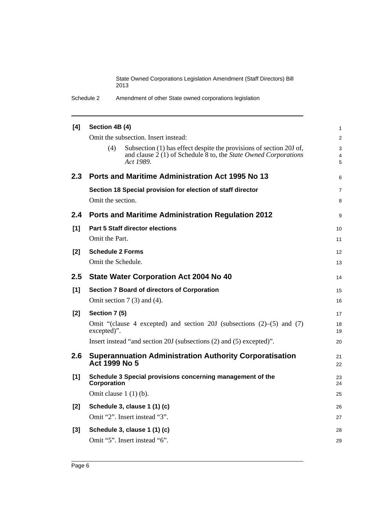Schedule 2 Amendment of other State owned corporations legislation

| [4]   | Section 4B (4)                                                                                                                                                       | $\mathbf{1}$   |
|-------|----------------------------------------------------------------------------------------------------------------------------------------------------------------------|----------------|
|       | Omit the subsection. Insert instead:                                                                                                                                 | 2              |
|       | (4)<br>Subsection (1) has effect despite the provisions of section 20J of,<br>and clause $2(1)$ of Schedule $8$ to, the <i>State Owned Corporations</i><br>Act 1989. | 3<br>4<br>5    |
| 2.3   | Ports and Maritime Administration Act 1995 No 13                                                                                                                     | 6              |
|       | Section 18 Special provision for election of staff director                                                                                                          | $\overline{7}$ |
|       | Omit the section.                                                                                                                                                    | 8              |
| 2.4   | <b>Ports and Maritime Administration Regulation 2012</b>                                                                                                             | 9              |
| [1]   | <b>Part 5 Staff director elections</b>                                                                                                                               | 10             |
|       | Omit the Part.                                                                                                                                                       | 11             |
| $[2]$ | <b>Schedule 2 Forms</b>                                                                                                                                              | 12             |
|       | Omit the Schedule.                                                                                                                                                   | 13             |
| 2.5   | <b>State Water Corporation Act 2004 No 40</b>                                                                                                                        | 14             |
|       |                                                                                                                                                                      |                |
| [1]   | <b>Section 7 Board of directors of Corporation</b>                                                                                                                   | 15             |
|       | Omit section $7(3)$ and $(4)$ .                                                                                                                                      | 16             |
| $[2]$ | Section 7 (5)                                                                                                                                                        | 17             |
|       | Omit "(clause 4 excepted) and section 20J (subsections $(2)$ – $(5)$ and $(7)$<br>excepted)".                                                                        | 18<br>19       |
|       | Insert instead "and section 20J (subsections (2) and (5) excepted)".                                                                                                 | 20             |
| 2.6   | <b>Superannuation Administration Authority Corporatisation</b><br>Act 1999 No 5                                                                                      | 21<br>22       |
| $[1]$ | Schedule 3 Special provisions concerning management of the<br>Corporation                                                                                            | 23<br>24       |
|       | Omit clause $1(1)(b)$ .                                                                                                                                              | 25             |
| $[2]$ | Schedule 3, clause 1 (1) (c)                                                                                                                                         | 26             |
|       | Omit "2". Insert instead "3".                                                                                                                                        | 27             |
| [3]   | Schedule 3, clause 1 (1) (c)                                                                                                                                         | 28             |
|       | Omit "5". Insert instead "6".                                                                                                                                        | 29             |